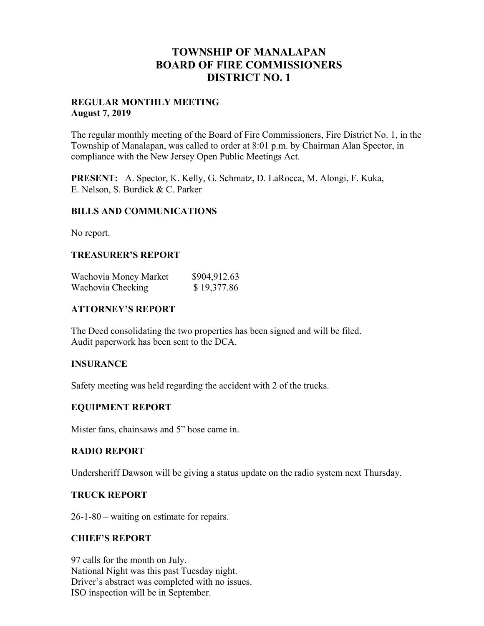# **TOWNSHIP OF MANALAPAN BOARD OF FIRE COMMISSIONERS DISTRICT NO. 1**

#### **REGULAR MONTHLY MEETING August 7, 2019**

The regular monthly meeting of the Board of Fire Commissioners, Fire District No. 1, in the Township of Manalapan, was called to order at 8:01 p.m. by Chairman Alan Spector, in compliance with the New Jersey Open Public Meetings Act.

**PRESENT:** A. Spector, K. Kelly, G. Schmatz, D. LaRocca, M. Alongi, F. Kuka, E. Nelson, S. Burdick & C. Parker

### **BILLS AND COMMUNICATIONS**

No report.

## **TREASURER'S REPORT**

| Wachovia Money Market | \$904,912.63 |
|-----------------------|--------------|
| Wachovia Checking     | \$19,377.86  |

## **ATTORNEY'S REPORT**

The Deed consolidating the two properties has been signed and will be filed. Audit paperwork has been sent to the DCA.

### **INSURANCE**

Safety meeting was held regarding the accident with 2 of the trucks.

### **EQUIPMENT REPORT**

Mister fans, chainsaws and 5" hose came in.

### **RADIO REPORT**

Undersheriff Dawson will be giving a status update on the radio system next Thursday.

### **TRUCK REPORT**

26-1-80 – waiting on estimate for repairs.

### **CHIEF'S REPORT**

97 calls for the month on July. National Night was this past Tuesday night. Driver's abstract was completed with no issues. ISO inspection will be in September.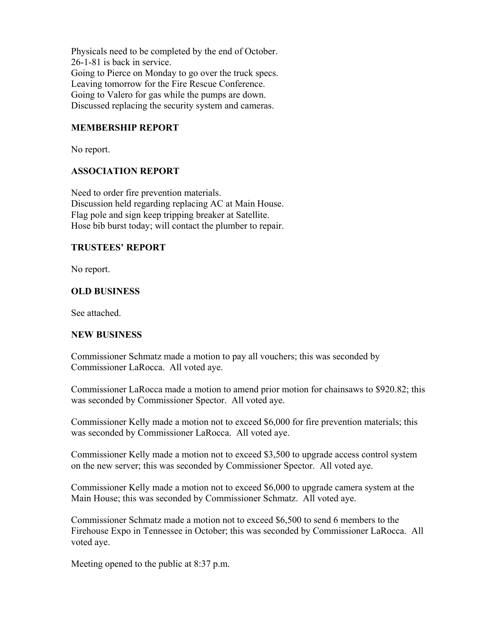Physicals need to be completed by the end of October. 26-1-81 is back in service. Going to Pierce on Monday to go over the truck specs. Leaving tomorrow for the Fire Rescue Conference. Going to Valero for gas while the pumps are down. Discussed replacing the security system and cameras.

## **MEMBERSHIP REPORT**

No report.

### **ASSOCIATION REPORT**

Need to order fire prevention materials. Discussion held regarding replacing AC at Main House. Flag pole and sign keep tripping breaker at Satellite. Hose bib burst today; will contact the plumber to repair.

#### **TRUSTEES' REPORT**

No report.

#### **OLD BUSINESS**

See attached.

### **NEW BUSINESS**

Commissioner Schmatz made a motion to pay all vouchers; this was seconded by Commissioner LaRocca. All voted aye.

Commissioner LaRocca made a motion to amend prior motion for chainsaws to \$920.82; this was seconded by Commissioner Spector. All voted aye.

Commissioner Kelly made a motion not to exceed \$6,000 for fire prevention materials; this was seconded by Commissioner LaRocca. All voted aye.

Commissioner Kelly made a motion not to exceed \$3,500 to upgrade access control system on the new server; this was seconded by Commissioner Spector. All voted aye.

Commissioner Kelly made a motion not to exceed \$6,000 to upgrade camera system at the Main House; this was seconded by Commissioner Schmatz. All voted aye.

Commissioner Schmatz made a motion not to exceed \$6,500 to send 6 members to the Firehouse Expo in Tennessee in October; this was seconded by Commissioner LaRocca. All voted aye.

Meeting opened to the public at 8:37 p.m.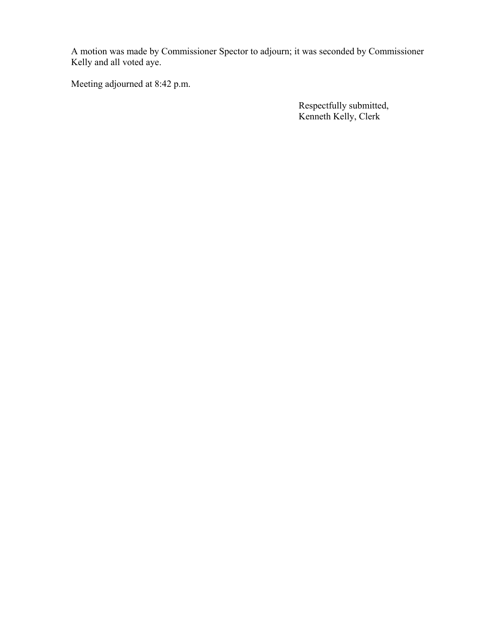A motion was made by Commissioner Spector to adjourn; it was seconded by Commissioner Kelly and all voted aye.

Meeting adjourned at 8:42 p.m.

 Respectfully submitted, Kenneth Kelly, Clerk